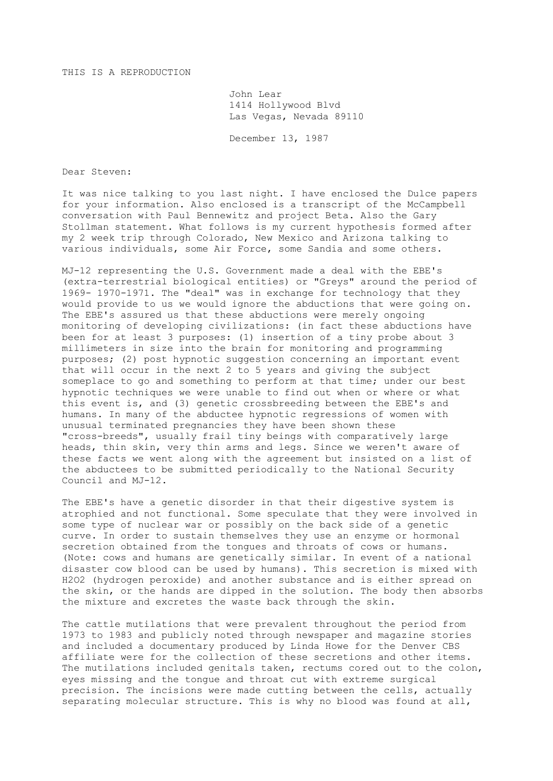## THIS IS A REPRODUCTION

John Lear 1414 Hollywood Blvd Las Vegas, Nevada 89110

December 13, 1987

Dear Steven:

It was nice talking to you last night. I have enclosed the Dulce papers for your information. Also enclosed is a transcript of the McCampbell conversation with Paul Bennewitz and project Beta. Also the Gary Stollman statement. What follows is my current hypothesis formed after my 2 week trip through Colorado, New Mexico and Arizona talking to various individuals, some Air Force, some Sandia and some others.

MJ-12 representing the U.S. Government made a deal with the EBE's (extra-terrestrial biological entities) or "Greys" around the period of 1969- 1970-1971. The "deal" was in exchange for technology that they would provide to us we would ignore the abductions that were going on. The EBE's assured us that these abductions were merely ongoing monitoring of developing civilizations: (in fact these abductions have been for at least 3 purposes: (1) insertion of a tiny probe about 3 millimeters in size into the brain for monitoring and programming purposes; (2) post hypnotic suggestion concerning an important event that will occur in the next 2 to 5 years and giving the subject someplace to go and something to perform at that time; under our best hypnotic techniques we were unable to find out when or where or what this event is, and (3) genetic crossbreeding between the EBE's and humans. In many of the abductee hypnotic regressions of women with unusual terminated pregnancies they have been shown these "cross-breeds", usually frail tiny beings with comparatively large heads, thin skin, very thin arms and legs. Since we weren't aware of these facts we went along with the agreement but insisted on a list of the abductees to be submitted periodically to the National Security Council and MJ-12.

The EBE's have a genetic disorder in that their digestive system is atrophied and not functional. Some speculate that they were involved in some type of nuclear war or possibly on the back side of a genetic curve. In order to sustain themselves they use an enzyme or hormonal secretion obtained from the tongues and throats of cows or humans. (Note: cows and humans are genetically similar. In event of a national disaster cow blood can be used by humans). This secretion is mixed with H2O2 (hydrogen peroxide) and another substance and is either spread on the skin, or the hands are dipped in the solution. The body then absorbs the mixture and excretes the waste back through the skin.

The cattle mutilations that were prevalent throughout the period from 1973 to 1983 and publicly noted through newspaper and magazine stories and included a documentary produced by Linda Howe for the Denver CBS affiliate were for the collection of these secretions and other items. The mutilations included genitals taken, rectums cored out to the colon, eyes missing and the tongue and throat cut with extreme surgical precision. The incisions were made cutting between the cells, actually separating molecular structure. This is why no blood was found at all,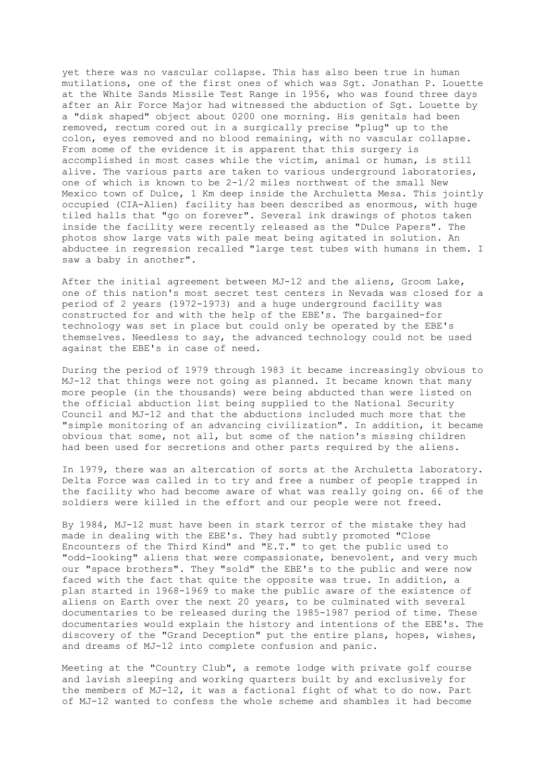yet there was no vascular collapse. This has also been true in human mutilations, one of the first ones of which was Sgt. Jonathan P. Louette at the White Sands Missile Test Range in 1956, who was found three days after an Air Force Major had witnessed the abduction of Sgt. Louette by a "disk shaped" object about 0200 one morning. His genitals had been removed, rectum cored out in a surgically precise "plug" up to the colon, eyes removed and no blood remaining, with no vascular collapse. From some of the evidence it is apparent that this surgery is accomplished in most cases while the victim, animal or human, is still alive. The various parts are taken to various underground laboratories, one of which is known to be 2-1/2 miles northwest of the small New Mexico town of Dulce, 1 Km deep inside the Archuletta Mesa. This jointly occupied (CIA-Alien) facility has been described as enormous, with huge tiled halls that "go on forever". Several ink drawings of photos taken inside the facility were recently released as the "Dulce Papers". The photos show large vats with pale meat being agitated in solution. An abductee in regression recalled "large test tubes with humans in them. I saw a baby in another".

After the initial agreement between MJ-12 and the aliens, Groom Lake, one of this nation's most secret test centers in Nevada was closed for a period of 2 years (1972-1973) and a huge underground facility was constructed for and with the help of the EBE's. The bargained-for technology was set in place but could only be operated by the EBE's themselves. Needless to say, the advanced technology could not be used against the EBE's in case of need.

During the period of 1979 through 1983 it became increasingly obvious to MJ-12 that things were not going as planned. It became known that many more people (in the thousands) were being abducted than were listed on the official abduction list being supplied to the National Security Council and MJ-12 and that the abductions included much more that the "simple monitoring of an advancing civilization". In addition, it became obvious that some, not all, but some of the nation's missing children had been used for secretions and other parts required by the aliens.

In 1979, there was an altercation of sorts at the Archuletta laboratory. Delta Force was called in to try and free a number of people trapped in the facility who had become aware of what was really going on. 66 of the soldiers were killed in the effort and our people were not freed.

By 1984, MJ-12 must have been in stark terror of the mistake they had made in dealing with the EBE's. They had subtly promoted "Close Encounters of the Third Kind" and "E.T." to get the public used to "odd-looking" aliens that were compassionate, benevolent, and very much our "space brothers". They "sold" the EBE's to the public and were now faced with the fact that quite the opposite was true. In addition, a plan started in 1968-1969 to make the public aware of the existence of aliens on Earth over the next 20 years, to be culminated with several documentaries to be released during the 1985-1987 period of time. These documentaries would explain the history and intentions of the EBE's. The discovery of the "Grand Deception" put the entire plans, hopes, wishes, and dreams of MJ-12 into complete confusion and panic.

Meeting at the "Country Club", a remote lodge with private golf course and lavish sleeping and working quarters built by and exclusively for the members of MJ-12, it was a factional fight of what to do now. Part of MJ-12 wanted to confess the whole scheme and shambles it had become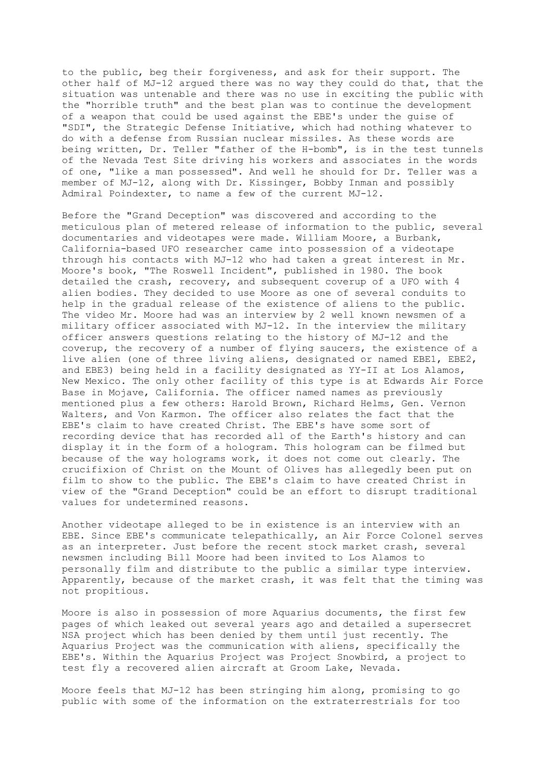to the public, beg their forgiveness, and ask for their support. The other half of MJ-12 argued there was no way they could do that, that the situation was untenable and there was no use in exciting the public with the "horrible truth" and the best plan was to continue the development of a weapon that could be used against the EBE's under the guise of "SDI", the Strategic Defense Initiative, which had nothing whatever to do with a defense from Russian nuclear missiles. As these words are being written, Dr. Teller "father of the H-bomb", is in the test tunnels of the Nevada Test Site driving his workers and associates in the words of one, "like a man possessed". And well he should for Dr. Teller was a member of MJ-12, along with Dr. Kissinger, Bobby Inman and possibly Admiral Poindexter, to name a few of the current MJ-12.

Before the "Grand Deception" was discovered and according to the meticulous plan of metered release of information to the public, several documentaries and videotapes were made. William Moore, a Burbank, California-based UFO researcher came into possession of a videotape through his contacts with MJ-12 who had taken a great interest in Mr. Moore's book, "The Roswell Incident", published in 1980. The book detailed the crash, recovery, and subsequent coverup of a UFO with 4 alien bodies. They decided to use Moore as one of several conduits to help in the gradual release of the existence of aliens to the public. The video Mr. Moore had was an interview by 2 well known newsmen of a military officer associated with MJ-12. In the interview the military officer answers questions relating to the history of MJ-12 and the coverup, the recovery of a number of flying saucers, the existence of a live alien (one of three living aliens, designated or named EBE1, EBE2, and EBE3) being held in a facility designated as YY-II at Los Alamos, New Mexico. The only other facility of this type is at Edwards Air Force Base in Mojave, California. The officer named names as previously mentioned plus a few others: Harold Brown, Richard Helms, Gen. Vernon Walters, and Von Karmon. The officer also relates the fact that the EBE's claim to have created Christ. The EBE's have some sort of recording device that has recorded all of the Earth's history and can display it in the form of a hologram. This hologram can be filmed but because of the way holograms work, it does not come out clearly. The crucifixion of Christ on the Mount of Olives has allegedly been put on film to show to the public. The EBE's claim to have created Christ in view of the "Grand Deception" could be an effort to disrupt traditional values for undetermined reasons.

Another videotape alleged to be in existence is an interview with an EBE. Since EBE's communicate telepathically, an Air Force Colonel serves as an interpreter. Just before the recent stock market crash, several newsmen including Bill Moore had been invited to Los Alamos to personally film and distribute to the public a similar type interview. Apparently, because of the market crash, it was felt that the timing was not propitious.

Moore is also in possession of more Aquarius documents, the first few pages of which leaked out several years ago and detailed a supersecret NSA project which has been denied by them until just recently. The Aquarius Project was the communication with aliens, specifically the EBE's. Within the Aquarius Project was Project Snowbird, a project to test fly a recovered alien aircraft at Groom Lake, Nevada.

Moore feels that MJ-12 has been stringing him along, promising to go public with some of the information on the extraterrestrials for too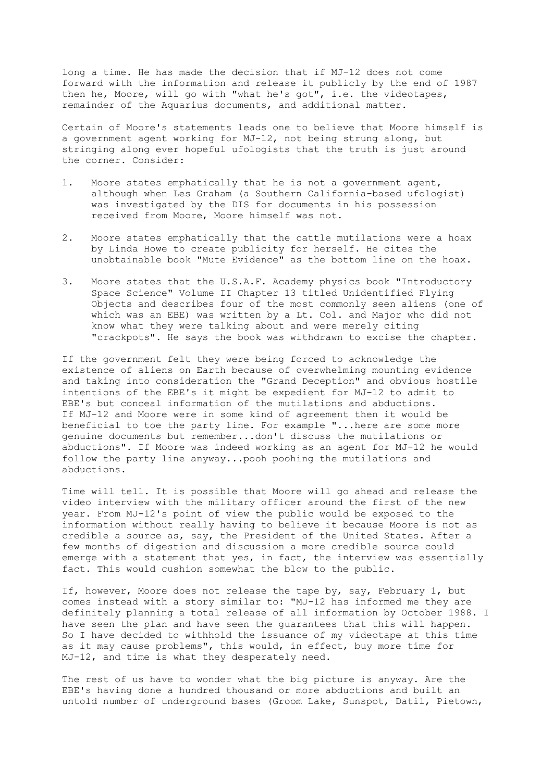long a time. He has made the decision that if MJ-12 does not come forward with the information and release it publicly by the end of 1987 then he, Moore, will go with "what he's got", i.e. the videotapes, remainder of the Aquarius documents, and additional matter.

Certain of Moore's statements leads one to believe that Moore himself is a government agent working for MJ-12, not being strung along, but stringing along ever hopeful ufologists that the truth is just around the corner. Consider:

- 1. Moore states emphatically that he is not a government agent, although when Les Graham (a Southern California-based ufologist) was investigated by the DIS for documents in his possession received from Moore, Moore himself was not.
- 2. Moore states emphatically that the cattle mutilations were a hoax by Linda Howe to create publicity for herself. He cites the unobtainable book "Mute Evidence" as the bottom line on the hoax.
- 3. Moore states that the U.S.A.F. Academy physics book "Introductory Space Science" Volume II Chapter 13 titled Unidentified Flying Objects and describes four of the most commonly seen aliens (one of which was an EBE) was written by a Lt. Col. and Major who did not know what they were talking about and were merely citing "crackpots". He says the book was withdrawn to excise the chapter.

If the government felt they were being forced to acknowledge the existence of aliens on Earth because of overwhelming mounting evidence and taking into consideration the "Grand Deception" and obvious hostile intentions of the EBE's it might be expedient for MJ-12 to admit to EBE's but conceal information of the mutilations and abductions. If MJ-12 and Moore were in some kind of agreement then it would be beneficial to toe the party line. For example "...here are some more genuine documents but remember...don't discuss the mutilations or abductions". If Moore was indeed working as an agent for MJ-12 he would follow the party line anyway...pooh poohing the mutilations and abductions.

Time will tell. It is possible that Moore will go ahead and release the video interview with the military officer around the first of the new year. From MJ-12's point of view the public would be exposed to the information without really having to believe it because Moore is not as credible a source as, say, the President of the United States. After a few months of digestion and discussion a more credible source could emerge with a statement that yes, in fact, the interview was essentially fact. This would cushion somewhat the blow to the public.

If, however, Moore does not release the tape by, say, February 1, but comes instead with a story similar to: "MJ-12 has informed me they are definitely planning a total release of all information by October 1988. I have seen the plan and have seen the guarantees that this will happen. So I have decided to withhold the issuance of my videotape at this time as it may cause problems", this would, in effect, buy more time for MJ-12, and time is what they desperately need.

The rest of us have to wonder what the big picture is anyway. Are the EBE's having done a hundred thousand or more abductions and built an untold number of underground bases (Groom Lake, Sunspot, Datil, Pietown,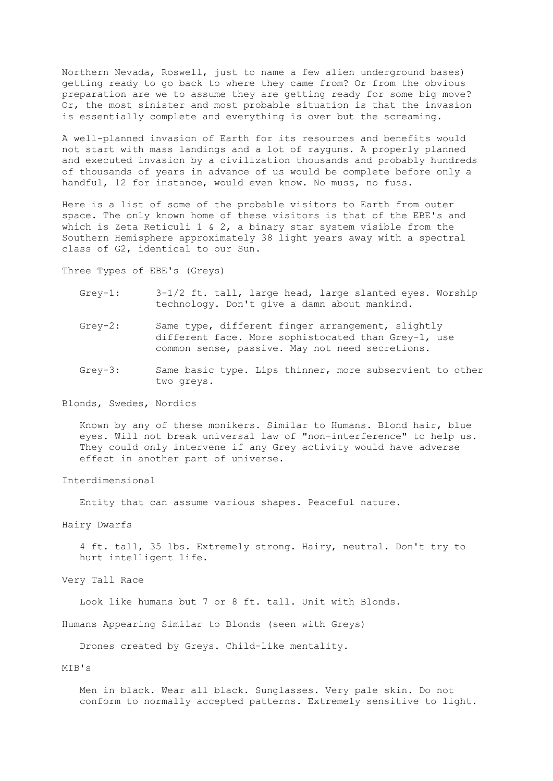Northern Nevada, Roswell, just to name a few alien underground bases) getting ready to go back to where they came from? Or from the obvious preparation are we to assume they are getting ready for some big move? Or, the most sinister and most probable situation is that the invasion is essentially complete and everything is over but the screaming.

A well-planned invasion of Earth for its resources and benefits would not start with mass landings and a lot of rayguns. A properly planned and executed invasion by a civilization thousands and probably hundreds of thousands of years in advance of us would be complete before only a handful, 12 for instance, would even know. No muss, no fuss.

Here is a list of some of the probable visitors to Earth from outer space. The only known home of these visitors is that of the EBE's and which is Zeta Reticuli 1  $\&$  2, a binary star system visible from the Southern Hemisphere approximately 38 light years away with a spectral class of G2, identical to our Sun.

Three Types of EBE's (Greys)

- Grey-1:  $3-1/2$  ft. tall, large head, large slanted eyes. Worship technology. Don't give a damn about mankind.
- Grey-2: Same type, different finger arrangement, slightly different face. More sophistocated than Grey-1, use common sense, passive. May not need secretions.
- Grey-3: Same basic type. Lips thinner, more subservient to other two greys.

Blonds, Swedes, Nordics

 Known by any of these monikers. Similar to Humans. Blond hair, blue eyes. Will not break universal law of "non-interference" to help us. They could only intervene if any Grey activity would have adverse effect in another part of universe.

Interdimensional

Entity that can assume various shapes. Peaceful nature.

Hairy Dwarfs

 4 ft. tall, 35 lbs. Extremely strong. Hairy, neutral. Don't try to hurt intelligent life.

Very Tall Race

Look like humans but 7 or 8 ft. tall. Unit with Blonds.

Humans Appearing Similar to Blonds (seen with Greys)

Drones created by Greys. Child-like mentality.

## MIB's

 Men in black. Wear all black. Sunglasses. Very pale skin. Do not conform to normally accepted patterns. Extremely sensitive to light.